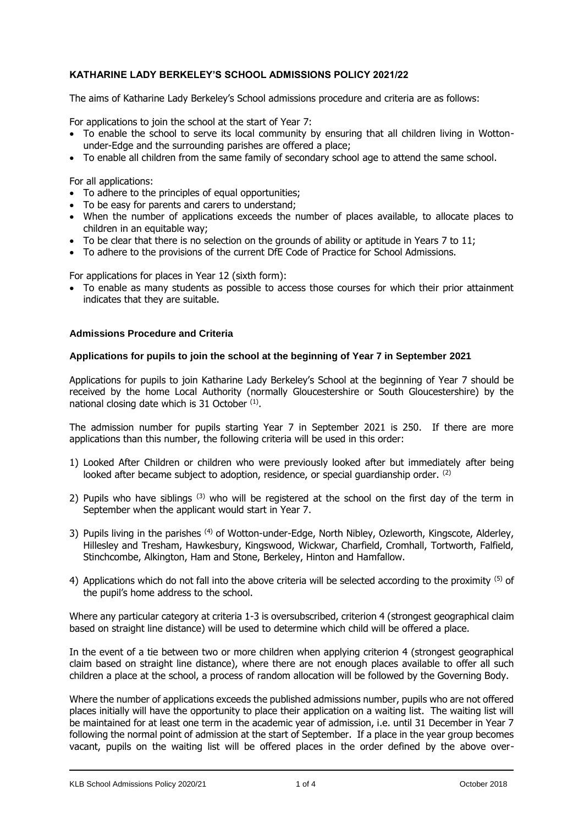# **KATHARINE LADY BERKELEY'S SCHOOL ADMISSIONS POLICY 2021/22**

The aims of Katharine Lady Berkeley's School admissions procedure and criteria are as follows:

For applications to join the school at the start of Year 7:

- To enable the school to serve its local community by ensuring that all children living in Wottonunder-Edge and the surrounding parishes are offered a place;
- To enable all children from the same family of secondary school age to attend the same school.

For all applications:

- To adhere to the principles of equal opportunities;
- To be easy for parents and carers to understand;
- When the number of applications exceeds the number of places available, to allocate places to children in an equitable way;
- To be clear that there is no selection on the grounds of ability or aptitude in Years 7 to 11;
- To adhere to the provisions of the current DfE Code of Practice for School Admissions.

For applications for places in Year 12 (sixth form):

• To enable as many students as possible to access those courses for which their prior attainment indicates that they are suitable.

### **Admissions Procedure and Criteria**

#### **Applications for pupils to join the school at the beginning of Year 7 in September 2021**

Applications for pupils to join Katharine Lady Berkeley's School at the beginning of Year 7 should be received by the home Local Authority (normally Gloucestershire or South Gloucestershire) by the national closing date which is 31 October  $(1)$ .

The admission number for pupils starting Year 7 in September 2021 is 250. If there are more applications than this number, the following criteria will be used in this order:

- 1) Looked After Children or children who were previously looked after but immediately after being looked after became subject to adoption, residence, or special quardianship order.  $(2)$
- 2) Pupils who have siblings<sup>(3)</sup> who will be registered at the school on the first day of the term in September when the applicant would start in Year 7.
- 3) Pupils living in the parishes <sup>(4)</sup> of Wotton-under-Edge, North Nibley, Ozleworth, Kingscote, Alderley, Hillesley and Tresham, Hawkesbury, Kingswood, Wickwar, Charfield, Cromhall, Tortworth, Falfield, Stinchcombe, Alkington, Ham and Stone, Berkeley, Hinton and Hamfallow.
- 4) Applications which do not fall into the above criteria will be selected according to the proximity (5) of the pupil's home address to the school.

Where any particular category at criteria 1-3 is oversubscribed, criterion 4 (strongest geographical claim based on straight line distance) will be used to determine which child will be offered a place.

In the event of a tie between two or more children when applying criterion 4 (strongest geographical claim based on straight line distance), where there are not enough places available to offer all such children a place at the school, a process of random allocation will be followed by the Governing Body.

Where the number of applications exceeds the published admissions number, pupils who are not offered places initially will have the opportunity to place their application on a waiting list. The waiting list will be maintained for at least one term in the academic year of admission, i.e. until 31 December in Year 7 following the normal point of admission at the start of September. If a place in the year group becomes vacant, pupils on the waiting list will be offered places in the order defined by the above over-

KLB School Admissions Policy 2020/21 1 064 1 of 4 October 2018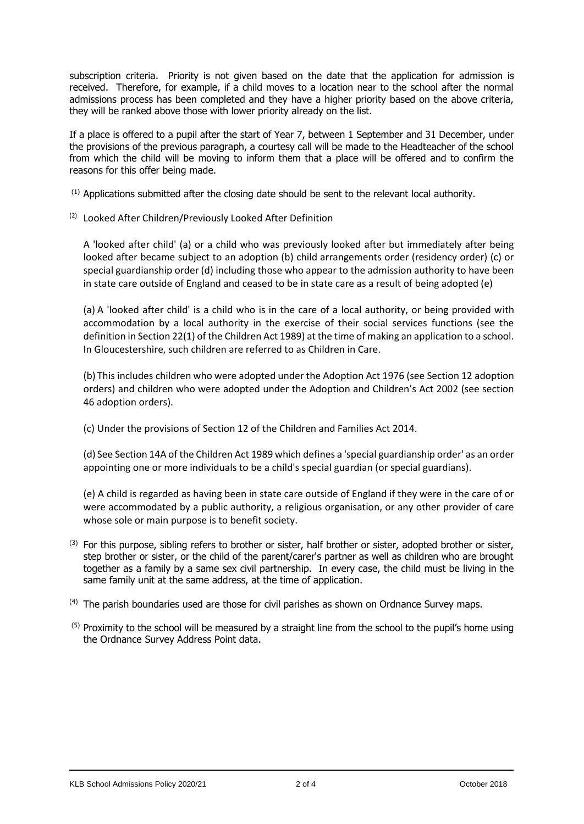subscription criteria. Priority is not given based on the date that the application for admission is received. Therefore, for example, if a child moves to a location near to the school after the normal admissions process has been completed and they have a higher priority based on the above criteria, they will be ranked above those with lower priority already on the list.

If a place is offered to a pupil after the start of Year 7, between 1 September and 31 December, under the provisions of the previous paragraph, a courtesy call will be made to the Headteacher of the school from which the child will be moving to inform them that a place will be offered and to confirm the reasons for this offer being made.

 $<sup>(1)</sup>$  Applications submitted after the closing date should be sent to the relevant local authority.</sup>

(2) Looked After Children/Previously Looked After Definition

A 'looked after child' (a) or a child who was previously looked after but immediately after being looked after became subject to an adoption (b) child arrangements order (residency order) (c) or special guardianship order (d) including those who appear to the admission authority to have been in state care outside of England and ceased to be in state care as a result of being adopted (e)

(a) A 'looked after child' is a child who is in the care of a local authority, or being provided with accommodation by a local authority in the exercise of their social services functions (see the definition in Section 22(1) of the Children Act 1989) at the time of making an application to a school. In Gloucestershire, such children are referred to as Children in Care.

(b) This includes children who were adopted under the Adoption Act 1976 (see Section 12 adoption orders) and children who were adopted under the Adoption and Children's Act 2002 (see section 46 adoption orders).

(c) Under the provisions of Section 12 of the Children and Families Act 2014.

(d) See Section 14A of the Children Act 1989 which defines a 'special guardianship order' as an order appointing one or more individuals to be a child's special guardian (or special guardians).

(e) A child is regarded as having been in state care outside of England if they were in the care of or were accommodated by a public authority, a religious organisation, or any other provider of care whose sole or main purpose is to benefit society.

- (3) For this purpose, sibling refers to brother or sister, half brother or sister, adopted brother or sister, step brother or sister, or the child of the parent/carer's partner as well as children who are brought together as a family by a same sex civil partnership. In every case, the child must be living in the same family unit at the same address, at the time of application.
- $(4)$  The parish boundaries used are those for civil parishes as shown on Ordnance Survey maps.
- $<sup>(5)</sup>$  Proximity to the school will be measured by a straight line from the school to the pupil's home using</sup> the Ordnance Survey Address Point data.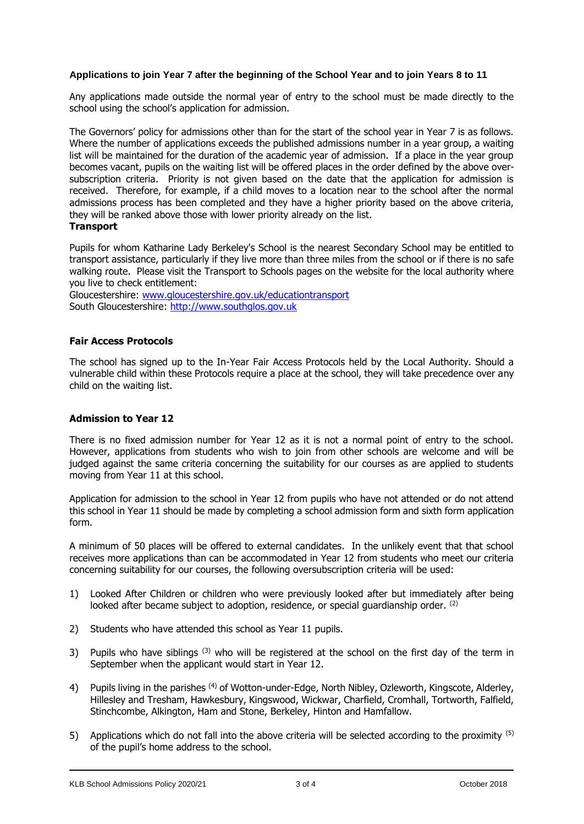## **Applications to join Year 7 after the beginning of the School Year and to join Years 8 to 11**

Any applications made outside the normal year of entry to the school must be made directly to the school using the school's application for admission.

The Governors' policy for admissions other than for the start of the school year in Year 7 is as follows. Where the number of applications exceeds the published admissions number in a year group, a waiting list will be maintained for the duration of the academic year of admission. If a place in the year group becomes vacant, pupils on the waiting list will be offered places in the order defined by the above oversubscription criteria. Priority is not given based on the date that the application for admission is received. Therefore, for example, if a child moves to a location near to the school after the normal admissions process has been completed and they have a higher priority based on the above criteria, they will be ranked above those with lower priority already on the list. **Transport**

Pupils for whom Katharine Lady Berkeley's School is the nearest Secondary School may be entitled to transport assistance, particularly if they live more than three miles from the school or if there is no safe walking route. Please visit the Transport to Schools pages on the website for the local authority where you live to check entitlement:

Gloucestershire: [www.gloucestershire.gov.uk/educationtransport](file:///C:/Users/aharris/Dropbox/Current%20policies/Healthy%20School/www.gloucestershire.gov.uk/educationtransport) South Gloucestershire: [http://www.southglos.gov.uk](http://www.southglos.gov.uk/)

### **Fair Access Protocols**

The school has signed up to the In-Year Fair Access Protocols held by the Local Authority. Should a vulnerable child within these Protocols require a place at the school, they will take precedence over any child on the waiting list.

## **Admission to Year 12**

There is no fixed admission number for Year 12 as it is not a normal point of entry to the school. However, applications from students who wish to join from other schools are welcome and will be judged against the same criteria concerning the suitability for our courses as are applied to students moving from Year 11 at this school.

Application for admission to the school in Year 12 from pupils who have not attended or do not attend this school in Year 11 should be made by completing a school admission form and sixth form application form.

A minimum of 50 places will be offered to external candidates. In the unlikely event that that school receives more applications than can be accommodated in Year 12 from students who meet our criteria concerning suitability for our courses, the following oversubscription criteria will be used:

- 1) Looked After Children or children who were previously looked after but immediately after being looked after became subject to adoption, residence, or special quardianship order.  $(2)$
- 2) Students who have attended this school as Year 11 pupils.
- 3) Pupils who have siblings  $(3)$  who will be registered at the school on the first day of the term in September when the applicant would start in Year 12.
- 4) Pupils living in the parishes <sup>(4)</sup> of Wotton-under-Edge, North Nibley, Ozleworth, Kingscote, Alderley, Hillesley and Tresham, Hawkesbury, Kingswood, Wickwar, Charfield, Cromhall, Tortworth, Falfield, Stinchcombe, Alkington, Ham and Stone, Berkeley, Hinton and Hamfallow.
- 5) Applications which do not fall into the above criteria will be selected according to the proximity (5) of the pupil's home address to the school.